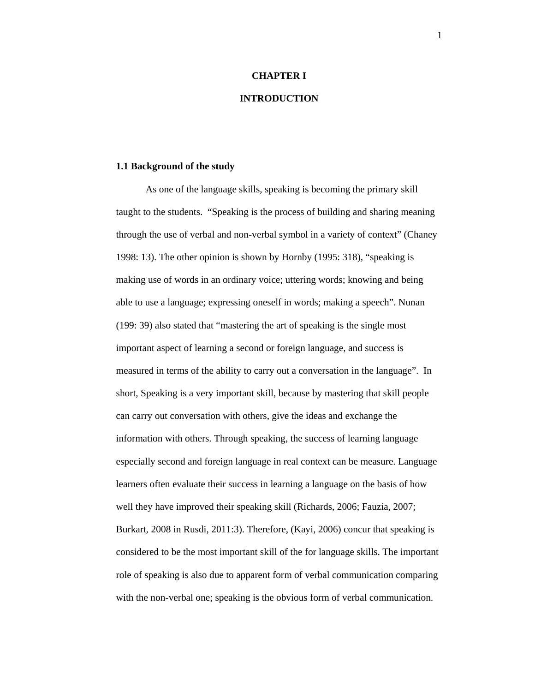#### **CHAPTER I**

# **INTRODUCTION**

#### **1.1 Background of the study**

As one of the language skills, speaking is becoming the primary skill taught to the students. "Speaking is the process of building and sharing meaning through the use of verbal and non-verbal symbol in a variety of context" (Chaney 1998: 13). The other opinion is shown by Hornby (1995: 318), "speaking is making use of words in an ordinary voice; uttering words; knowing and being able to use a language; expressing oneself in words; making a speech". Nunan (199: 39) also stated that "mastering the art of speaking is the single most important aspect of learning a second or foreign language, and success is measured in terms of the ability to carry out a conversation in the language". In short, Speaking is a very important skill, because by mastering that skill people can carry out conversation with others, give the ideas and exchange the information with others. Through speaking, the success of learning language especially second and foreign language in real context can be measure. Language learners often evaluate their success in learning a language on the basis of how well they have improved their speaking skill (Richards, 2006; Fauzia, 2007; Burkart, 2008 in Rusdi, 2011:3). Therefore, (Kayi, 2006) concur that speaking is considered to be the most important skill of the for language skills. The important role of speaking is also due to apparent form of verbal communication comparing with the non-verbal one; speaking is the obvious form of verbal communication.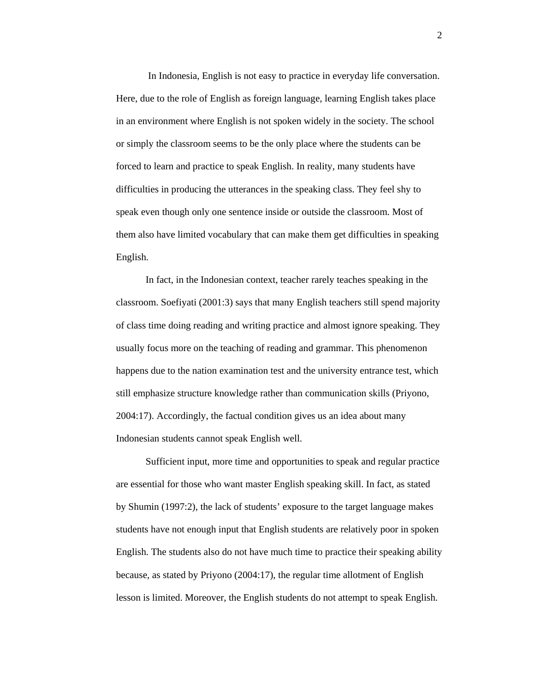In Indonesia, English is not easy to practice in everyday life conversation. Here, due to the role of English as foreign language, learning English takes place in an environment where English is not spoken widely in the society. The school or simply the classroom seems to be the only place where the students can be forced to learn and practice to speak English. In reality, many students have difficulties in producing the utterances in the speaking class. They feel shy to speak even though only one sentence inside or outside the classroom. Most of them also have limited vocabulary that can make them get difficulties in speaking English.

In fact, in the Indonesian context, teacher rarely teaches speaking in the classroom. Soefiyati (2001:3) says that many English teachers still spend majority of class time doing reading and writing practice and almost ignore speaking. They usually focus more on the teaching of reading and grammar. This phenomenon happens due to the nation examination test and the university entrance test, which still emphasize structure knowledge rather than communication skills (Priyono, 2004:17). Accordingly, the factual condition gives us an idea about many Indonesian students cannot speak English well.

Sufficient input, more time and opportunities to speak and regular practice are essential for those who want master English speaking skill. In fact, as stated by Shumin (1997:2), the lack of students' exposure to the target language makes students have not enough input that English students are relatively poor in spoken English. The students also do not have much time to practice their speaking ability because, as stated by Priyono (2004:17), the regular time allotment of English lesson is limited. Moreover, the English students do not attempt to speak English.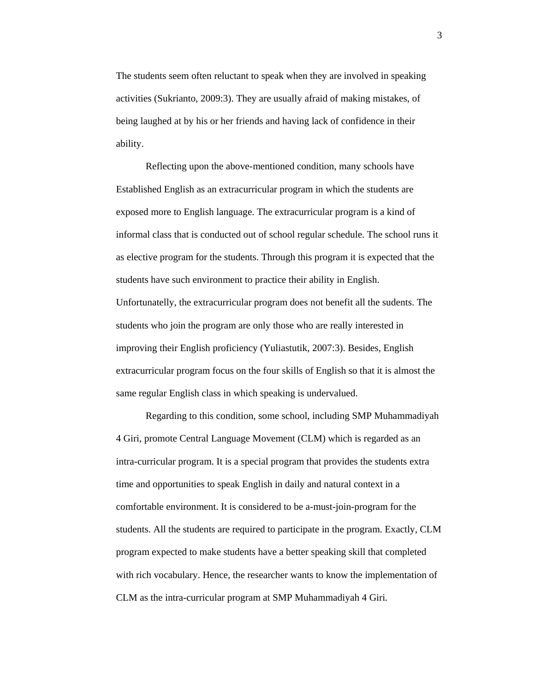The students seem often reluctant to speak when they are involved in speaking activities (Sukrianto, 2009:3). They are usually afraid of making mistakes, of being laughed at by his or her friends and having lack of confidence in their ability.

 Reflecting upon the above-mentioned condition, many schools have Established English as an extracurricular program in which the students are exposed more to English language. The extracurricular program is a kind of informal class that is conducted out of school regular schedule. The school runs it as elective program for the students. Through this program it is expected that the students have such environment to practice their ability in English. Unfortunatelly, the extracurricular program does not benefit all the sudents. The students who join the program are only those who are really interested in improving their English proficiency (Yuliastutik, 2007:3). Besides, English extracurricular program focus on the four skills of English so that it is almost the same regular English class in which speaking is undervalued.

Regarding to this condition, some school, including SMP Muhammadiyah 4 Giri, promote Central Language Movement (CLM) which is regarded as an intra-curricular program. It is a special program that provides the students extra time and opportunities to speak English in daily and natural context in a comfortable environment. It is considered to be a-must-join-program for the students. All the students are required to participate in the program. Exactly, CLM program expected to make students have a better speaking skill that completed with rich vocabulary. Hence, the researcher wants to know the implementation of CLM as the intra-curricular program at SMP Muhammadiyah 4 Giri*.*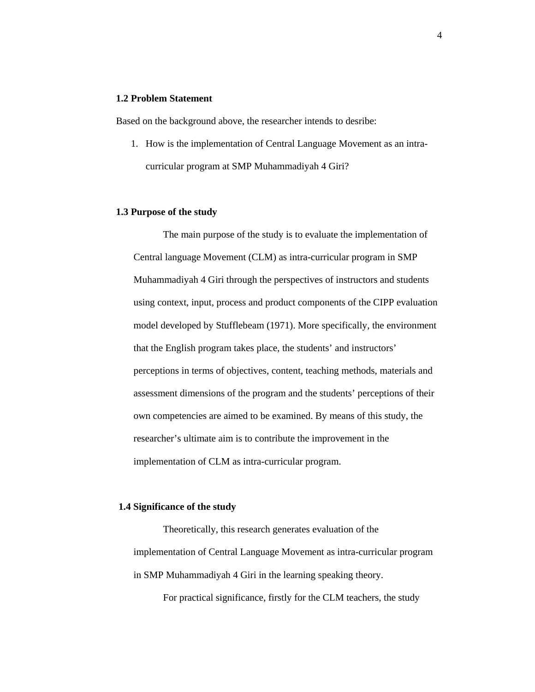# **1.2 Problem Statement**

Based on the background above, the researcher intends to desribe:

1. How is the implementation of Central Language Movement as an intracurricular program at SMP Muhammadiyah 4 Giri?

## **1.3 Purpose of the study**

The main purpose of the study is to evaluate the implementation of Central language Movement (CLM) as intra-curricular program in SMP Muhammadiyah 4 Giri through the perspectives of instructors and students using context, input, process and product components of the CIPP evaluation model developed by Stufflebeam (1971). More specifically, the environment that the English program takes place, the students' and instructors' perceptions in terms of objectives, content, teaching methods, materials and assessment dimensions of the program and the students' perceptions of their own competencies are aimed to be examined. By means of this study, the researcher's ultimate aim is to contribute the improvement in the implementation of CLM as intra-curricular program.

## **1.4 Significance of the study**

Theoretically, this research generates evaluation of the implementation of Central Language Movement as intra-curricular program in SMP Muhammadiyah 4 Giri in the learning speaking theory.

For practical significance, firstly for the CLM teachers, the study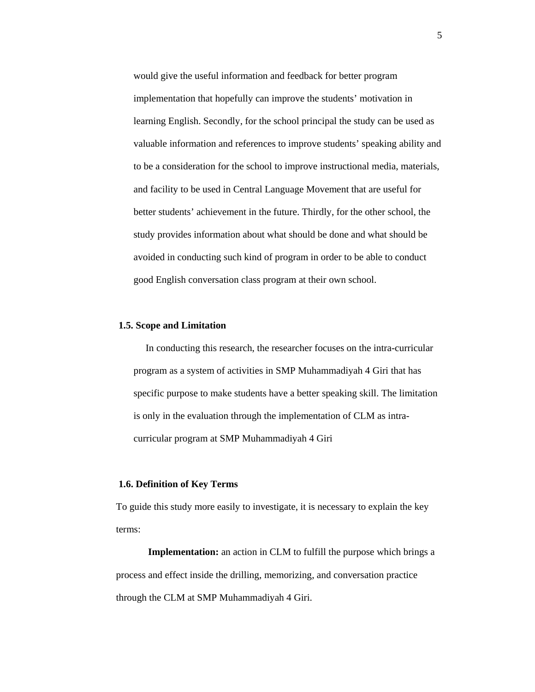would give the useful information and feedback for better program implementation that hopefully can improve the students' motivation in learning English. Secondly, for the school principal the study can be used as valuable information and references to improve students' speaking ability and to be a consideration for the school to improve instructional media, materials, and facility to be used in Central Language Movement that are useful for better students' achievement in the future. Thirdly, for the other school, the study provides information about what should be done and what should be avoided in conducting such kind of program in order to be able to conduct good English conversation class program at their own school.

#### **1.5. Scope and Limitation**

 In conducting this research, the researcher focuses on the intra-curricular program as a system of activities in SMP Muhammadiyah 4 Giri that has specific purpose to make students have a better speaking skill. The limitation is only in the evaluation through the implementation of CLM as intracurricular program at SMP Muhammadiyah 4 Giri

## **1.6. Definition of Key Terms**

To guide this study more easily to investigate, it is necessary to explain the key terms:

 **Implementation:** an action in CLM to fulfill the purpose which brings a process and effect inside the drilling, memorizing, and conversation practice through the CLM at SMP Muhammadiyah 4 Giri.